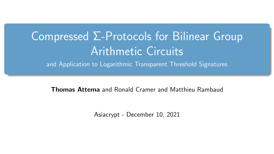# Compressed Σ-Protocols for Bilinear Group Arithmetic Circuits

and Application to Logarithmic Transparent Threshold Signatures

Thomas Attema and Ronald Cramer and Matthieu Rambaud

Asiacrypt - December 10, 2021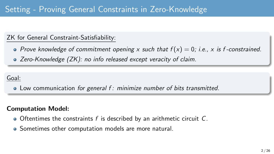## Setting - Proving General Constraints in Zero-Knowledge

## ZK for General Constraint-Satisfiability:

- Prove knowledge of commitment opening x such that  $f(x) = 0$ ; i.e., x is f-constrained.
- Zero-Knowledge (ZK): no info released except veracity of claim.

#### Goal:

• Low communication for general f: minimize number of bits transmitted.

#### Computation Model:

- $\bullet$  Oftentimes the constraints f is described by an arithmetic circuit C.
- Sometimes other computation models are more natural.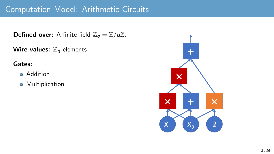## Computation Model: Arithmetic Circuits

**Defined over:** A finite field  $\mathbb{Z}_q = \mathbb{Z}/q\mathbb{Z}$ .

Wire values:  $\mathbb{Z}_q$ -elements

Gates:

- **•** Addition
- **•** Multiplication

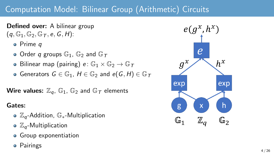## Computation Model: Bilinear Group (Arithmetic) Circuits

Defined over: A bilinear group  $(q, \mathbb{G}_1, \mathbb{G}_2, \mathbb{G}_T, e, G, H)$ :

- o Prime a
- $\bullet$  Order q groups  $\mathbb{G}_1$ ,  $\mathbb{G}_2$  and  $\mathbb{G}_T$
- Bilinear map (pairing)  $e: \mathbb{G}_1 \times \mathbb{G}_2 \to \mathbb{G}_T$
- Generators  $G \in \mathbb{G}_1$ ,  $H \in \mathbb{G}_2$  and  $e(G, H) \in \mathbb{G}_T$

Wire values:  $\mathbb{Z}_q$ ,  $\mathbb{G}_1$ ,  $\mathbb{G}_2$  and  $\mathbb{G}_7$  elements

#### Gates:

- o Z<sub>a</sub>-Addition, G<sub>\*</sub>-Multiplication
- $\bullet$   $\mathbb{Z}_q$ -Multiplication
- **•** Group exponentiation
- **•** Pairings

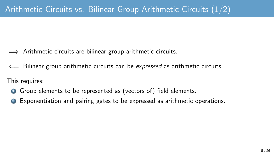- $\implies$  Arithmetic circuits are bilinear group arithmetic circuits.
- $\leftarrow$  Bilinear group arithmetic circuits can be expressed as arithmetic circuits.

This requires:

- **1** Group elements to be represented as (vectors of) field elements.
- <sup>2</sup> Exponentiation and pairing gates to be expressed as arithmetic operations.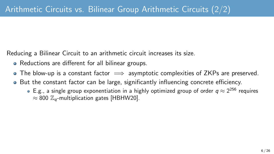Reducing a Bilinear Circuit to an arithmetic circuit increases its size.

- Reductions are different for all bilinear groups.
- The blow-up is a constant factor  $\implies$  asymptotic complexities of ZKPs are preserved.
- But the constant factor can be large, significantly influencing concrete efficiency.
	- E.g., a single group exponentiation in a highly optimized group of order  $q\approx 2^{256}$  requires  $\approx 800$   $\mathbb{Z}_q$ -multiplication gates [\[HBHW20\]](#page-24-0).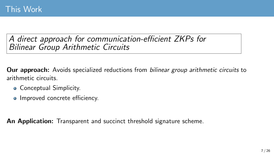## A direct approach for communication-efficient ZKPs for Bilinear Group Arithmetic Circuits

**Our approach:** Avoids specialized reductions from *bilinear group arithmetic circuits* to arithmetic circuits.

- Conceptual Simplicity.
- Improved concrete efficiency.

An Application: Transparent and succinct threshold signature scheme.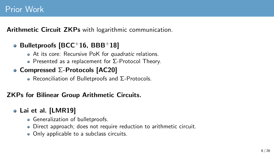Arithmetic Circuit ZKPs with logarithmic communication.

## $\bullet$  Bulletproofs [\[BCC](#page-24-1)+16, [BBB](#page-23-0)+18]

- At its core: Recursive PoK for *quadratic* relations.
- Presented as a replacement for  $Σ$ -Protocol Theory.

## • Compressed Σ-Protocols [\[AC20\]](#page-22-0)

• Reconciliation of Bulletproofs and Σ-Protocols.

## ZKPs for Bilinear Group Arithmetic Circuits.

## Lai et al. [\[LMR19\]](#page-25-0)

- **Generalization of bulletproofs.**
- Direct approach; does not require reduction to arithmetic circuit.
- Only applicable to a subclass circuits.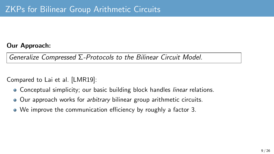#### Our Approach:

Generalize Compressed Σ-Protocols to the Bilinear Circuit Model.

Compared to Lai et al. [\[LMR19\]](#page-25-0):

- Conceptual simplicity; our basic building block handles *linear* relations.
- Our approach works for *arbitrary* bilinear group arithmetic circuits.
- We improve the communication efficiency by roughly a factor 3.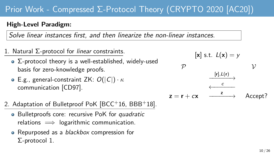## Prior Work - Compressed Σ-Protocol Theory (CRYPTO 2020 [\[AC20\]](#page-22-0))

#### High-Level Paradigm:

Solve linear instances first, and then linearize the non-linear instances.

- 1. Natural Σ-protocol for linear constraints.
	- Σ-protocol theory is a well-established, widely-used basis for zero-knowledge proofs.
	- **•** E.g., general-constraint ZK:  $O(|C|) \cdot \kappa$ communication [\[CD97\]](#page-24-2).
- 2. Adaptation of Bulletproof PoK [\[BCC](#page-24-1)+16, [BBB](#page-23-0)+18].
	- Bulletproofs core: recursive PoK for quadratic relations  $\implies$  logarithmic communication.
	- Repurposed as a *blackbox* compression for Σ-protocol 1.

 $[x]$  s.t.  $L(x) = y$  $\mathcal P$   $\mathcal V$  $\xrightarrow{[r], L(r)} \rightarrow$  $\leftarrow$  ←  $z = r + cx$ Accept?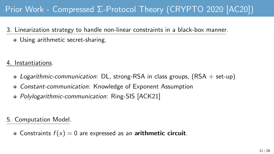## Prior Work - Compressed Σ-Protocol Theory (CRYPTO 2020 [\[AC20\]](#page-22-0))

- 3. Linearization strategy to handle non-linear constraints in a black-box manner.
	- Using arithmetic secret-sharing.

4. Instantiations.

- Logarithmic-communication: DL, strong-RSA in class groups,  $(RSA + set-up)$
- Constant-communication: Knowledge of Exponent Assumption
- Polylogarithmic-communication: Ring-SIS [\[ACK21\]](#page-22-1)

5. Computation Model.

• Constraints  $f(x) = 0$  are expressed as an **arithmetic circuit**.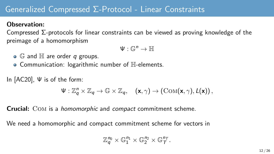## Generalized Compressed Σ-Protocol - Linear Constraints

#### Observation:

Compressed Σ-protocols for linear constraints can be viewed as proving knowledge of the preimage of a homomorphism

$$
\Psi:\mathbb{G}^n\to\mathbb{H}
$$

- $\bullet$   $\mathbb G$  and  $\mathbb H$  are order q groups.
- Communication: logarithmic number of H-elements.

In [\[AC20\]](#page-22-0), Ψ is of the form:

$$
\Psi: \mathbb{Z}_q^n \times \mathbb{Z}_q \to \mathbb{G} \times \mathbb{Z}_q, \quad (\mathbf{x}, \gamma) \to (\mathrm{Com}(\mathbf{x}, \gamma), L(\mathbf{x})),
$$

Crucial: Com is a homomorphic and compact commitment scheme.

We need a homomorphic and compact commitment scheme for vectors in

$$
\mathbb{Z}_q^{n_0} \times \mathbb{G}_1^{n_1} \times \mathbb{G}_2^{n_2} \times \mathbb{G}_T^{n_T}.
$$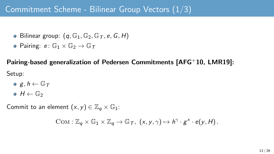## Commitment Scheme - Bilinear Group Vectors (1/3)

- Bilinear group:  $(q, \mathbb{G}_1, \mathbb{G}_2, \mathbb{G}_T, e, G, H)$
- Pairing:  $e: \mathbb{G}_1 \times \mathbb{G}_2 \rightarrow \mathbb{G}_T$

Pairing-based generalization of Pedersen Commitments [\[AFG](#page-23-1)+10, [LMR19\]](#page-25-0): Setup:

- $g, h \leftarrow \mathbb{G}_T$
- $\bullet$  H  $\leftarrow$  G<sub>2</sub>

Commit to an element  $(x, y) \in \mathbb{Z}_q \times \mathbb{G}_1$ :

$$
COM: \mathbb{Z}_q \times \mathbb{G}_1 \times \mathbb{Z}_q \to \mathbb{G}_T, \ (x, y, \gamma) \mapsto h^{\gamma} \cdot g^x \cdot e(y, H).
$$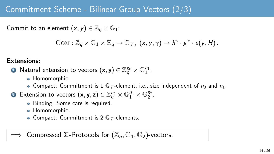## Commitment Scheme - Bilinear Group Vectors (2/3)

Commit to an element  $(x, y) \in \mathbb{Z}_q \times \mathbb{G}_1$ :

$$
COM: \mathbb{Z}_q \times \mathbb{G}_1 \times \mathbb{Z}_q \to \mathbb{G}_T, \ (x, y, \gamma) \mapsto h^{\gamma} \cdot g^x \cdot e(y, H).
$$

#### Extensions:

- $\bullet$  Natural extension to vectors  $(\mathsf{x},\mathsf{y})\in\mathbb{Z}_q^{n_0}\times\mathbb{G}_1^{n_1}.$ 
	- Homomorphic.
	- Compact: Commitment is 1  $\mathbb{G}_T$ -element, i.e., size independent of  $n_0$  and  $n_1$ .
- **2** Extension to vectors  $(x, y, z) \in \mathbb{Z}_q^{n_0} \times \mathbb{G}_1^{n_1} \times \mathbb{G}_2^{n_2}$ .
	- Binding: Some care is required.
	- Homomorphic.
	- Compact: Commitment is 2  $\mathbb{G}_T$ -elements.

Compressed  $\Sigma$ -Protocols for  $(\mathbb{Z}_q, \mathbb{G}_1, \mathbb{G}_2)$ -vectors.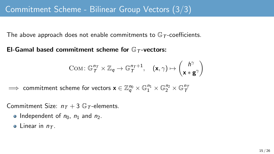The above approach does not enable commitments to  $\mathbb{G}_T$ -coefficients.

El-Gamal based commitment scheme for  $\mathbb{G}_{\mathcal{T}}$ -vectors:

$$
\text{Com}\colon \mathbb{G}_T^{n_T} \times \mathbb{Z}_q \to \mathbb{G}_T^{n_T+1}, \quad (\mathbf{x}, \gamma) \mapsto \begin{pmatrix} h^{\gamma} \\ \mathbf{x} * \mathbf{g}^{\gamma} \end{pmatrix}
$$

 $\implies$  commitment scheme for vectors  $\mathbf{x}\in\mathbb{Z}_q^{n_0}\times\mathbb{G}_1^{n_1}\times\mathbb{G}_2^{n_2}\times\mathbb{G}_T^{n_7}$ 

Commitment Size:  $n_T + 3$  G<sub>T</sub>-elements.

- Independent of  $n_0$ ,  $n_1$  and  $n_2$ .
- Linear in  $n_{\mathcal{T}}$ .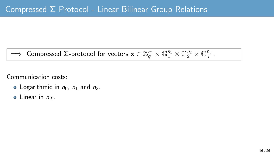## $\implies$  Compressed  $\Sigma$ -protocol for vectors  $\mathbf{x} \in \mathbb{Z}_q^{n_0} \times \mathbb{G}_1^{n_1} \times \mathbb{G}_2^{n_2} \times \mathbb{G}_\mathcal{T}^{n_\mathcal{T}}$ .

Communication costs:

- Logarithmic in  $n_0$ ,  $n_1$  and  $n_2$ .
- $\bullet$  Linear in  $n_{\tau}$ .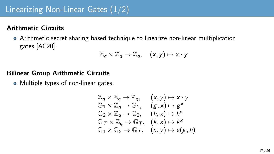## Linearizing Non-Linear Gates (1/2)

#### Arithmetic Circuits

Arithmetic secret sharing based technique to linearize non-linear multiplication gates [\[AC20\]](#page-22-0):

$$
\mathbb{Z}_q\times\mathbb{Z}_q\to\mathbb{Z}_q,\quad (x,y)\mapsto x\cdot y
$$

#### Bilinear Group Arithmetic Circuits

• Multiple types of non-linear gates:

$$
\mathbb{Z}_{q} \times \mathbb{Z}_{q} \to \mathbb{Z}_{q}, \quad (x, y) \mapsto x \cdot y
$$
  
\n
$$
\mathbb{G}_{1} \times \mathbb{Z}_{q} \to \mathbb{G}_{1}, \quad (g, x) \mapsto g^{x}
$$
  
\n
$$
\mathbb{G}_{2} \times \mathbb{Z}_{q} \to \mathbb{G}_{2}, \quad (h, x) \mapsto h^{x}
$$
  
\n
$$
\mathbb{G}_{T} \times \mathbb{Z}_{q} \to \mathbb{G}_{T}, \quad (k, x) \mapsto k^{x}
$$
  
\n
$$
\mathbb{G}_{1} \times \mathbb{G}_{2} \to \mathbb{G}_{T}, \quad (x, y) \mapsto e(g, h)
$$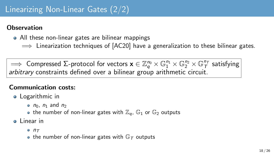## Linearizing Non-Linear Gates (2/2)

### **Observation**

- All these non-linear gates are bilinear mappings
	- $\implies$  Linearization techniques of  $[AC20]$  have a generalization to these bilinear gates.

 $\implies$  Compressed Σ-protocol for vectors  $\mathbf{x}\in\mathbb{Z}_q^{n_0}\times\mathbb{G}_1^{n_1}\times\mathbb{G}_2^{n_2}\times\mathbb{G}_7^{n_7}$  satisfying arbitrary constraints defined over a bilinear group arithmetic circuit.

## Communication costs:

- **•** Logarithmic in
	- $n_0$ ,  $n_1$  and  $n_2$
	- the number of non-linear gates with  $\mathbb{Z}_q$ ,  $\mathbb{G}_1$  or  $\mathbb{G}_2$  outputs
- o Linear in
	- $0 n<sub>T</sub>$
	- the number of non-linear gates with  $\mathbb{G}_T$  outputs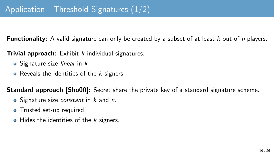**Functionality:** A valid signature can only be created by a subset of at least *k*-out-of-*n* players.

**Trivial approach:** Exhibit  $k$  individual signatures.

- $\bullet$  Signature size linear in  $k$ .
- Reveals the identities of the  $k$  signers.

**Standard approach [\[Sho00\]](#page-25-1):** Secret share the private key of a standard signature scheme.

- $\bullet$  Signature size *constant* in  $k$  and  $n$ .
- Trusted set-up required.
- $\bullet$  Hides the identities of the *k* signers.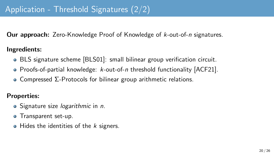**Our approach:** Zero-Knowledge Proof of Knowledge of k-out-of-n signatures.

#### Ingredients:

- BLS signature scheme [\[BLS01\]](#page-24-3): small bilinear group verification circuit.
- Proofs-of-partial knowledge:  $k$ -out-of-n threshold functionality  $[ACF21]$ .
- Compressed Σ-Protocols for bilinear group arithmetic relations.

## Properties:

- Signature size *logarithmic* in *n*.
- Transparent set-up.
- $\bullet$  Hides the identities of the k signers.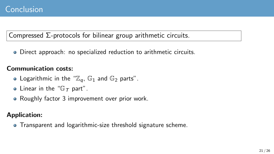## Compressed Σ-protocols for bilinear group arithmetic circuits.

Direct approach: no specialized reduction to arithmetic circuits.

## Communication costs:

- Logarithmic in the " $\mathbb{Z}_q$ ,  $\mathbb{G}_1$  and  $\mathbb{G}_2$  parts".
- Linear in the " $G_T$  part".
- Roughly factor 3 improvement over prior work.

## Application:

**•** Transparent and logarithmic-size threshold signature scheme.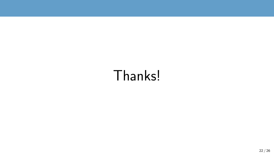# Thanks!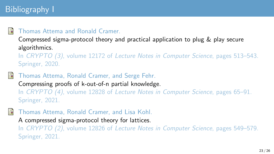## Bibliography I

#### <span id="page-22-0"></span>F Thomas Attema and Ronald Cramer.

Compressed sigma-protocol theory and practical application to plug & play secure algorithmics.

In CRYPTO (3), volume 12172 of Lecture Notes in Computer Science, pages 513–543. Springer, 2020.

- <span id="page-22-2"></span>F Thomas Attema, Ronald Cramer, and Serge Fehr. Compressing proofs of k-out-of-n partial knowledge. In CRYPTO (4), volume 12828 of Lecture Notes in Computer Science, pages 65–91. Springer, 2021.
- <span id="page-22-1"></span>F Thomas Attema, Ronald Cramer, and Lisa Kohl.
	- A compressed sigma-protocol theory for lattices.

In CRYPTO (2), volume 12826 of Lecture Notes in Computer Science, pages 549–579. Springer, 2021.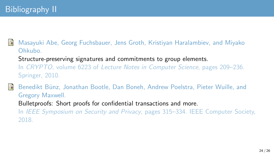<span id="page-23-1"></span>Ħ Masayuki Abe, Georg Fuchsbauer, Jens Groth, Kristiyan Haralambiev, and Miyako Ohkubo. Structure-preserving signatures and commitments to group elements. In CRYPTO, volume 6223 of Lecture Notes in Computer Science, pages 209–236. Springer, 2010.

<span id="page-23-0"></span>譶 Benedikt Bünz, Jonathan Bootle, Dan Boneh, Andrew Poelstra, Pieter Wuille, and Gregory Maxwell. Bulletproofs: Short proofs for confidential transactions and more. In IEEE Symposium on Security and Privacy, pages 315–334. IEEE Computer Society, 2018.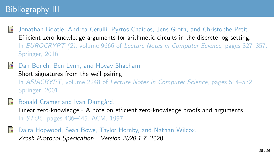## Bibliography III

- <span id="page-24-1"></span>F Jonathan Bootle, Andrea Cerulli, Pyrros Chaidos, Jens Groth, and Christophe Petit. Efficient zero-knowledge arguments for arithmetic circuits in the discrete log setting. In EUROCRYPT (2), volume 9666 of Lecture Notes in Computer Science, pages 327–357. Springer, 2016.
- <span id="page-24-3"></span>螶 Dan Boneh, Ben Lynn, and Hovav Shacham. Short signatures from the weil pairing. In ASIACRYPT, volume 2248 of Lecture Notes in Computer Science, pages 514–532. Springer, 2001.
- <span id="page-24-2"></span>Ronald Cramer and Ivan Damgård. Linear zero-knowledge - A note on efficient zero-knowledge proofs and arguments. In STOC, pages 436–445. ACM, 1997.
- <span id="page-24-0"></span>F Daira Hopwood, Sean Bowe, Taylor Hornby, and Nathan Wilcox. Zcash Protocol Specication - Version 2020.1.7, 2020.